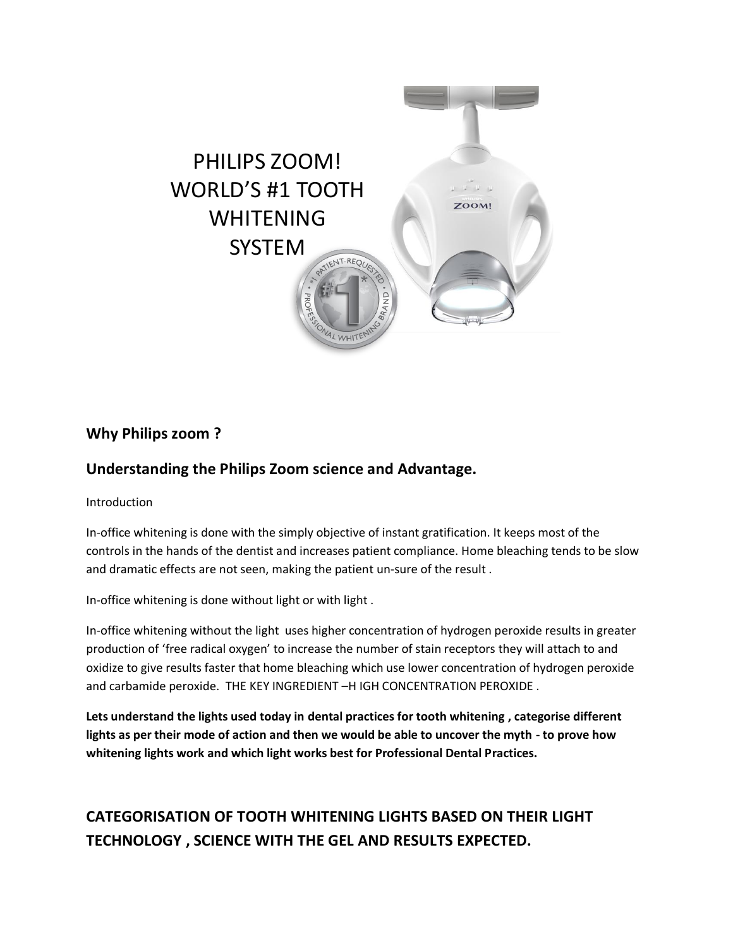

## **Why Philips zoom ?**

### **Understanding the Philips Zoom science and Advantage.**

Introduction

In-office whitening is done with the simply objective of instant gratification. It keeps most of the controls in the hands of the dentist and increases patient compliance. Home bleaching tends to be slow and dramatic effects are not seen, making the patient un-sure of the result .

In-office whitening is done without light or with light .

In-office whitening without the light uses higher concentration of hydrogen peroxide results in greater production of 'free radical oxygen' to increase the number of stain receptors they will attach to and oxidize to give results faster that home bleaching which use lower concentration of hydrogen peroxide and carbamide peroxide. THE KEY INGREDIENT –H IGH CONCENTRATION PEROXIDE .

**Lets understand the lights used today in dental practices for tooth whitening , categorise different lights as per their mode of action and then we would be able to uncover the myth - to prove how whitening lights work and which light works best for Professional Dental Practices.** 

# **CATEGORISATION OF TOOTH WHITENING LIGHTS BASED ON THEIR LIGHT TECHNOLOGY , SCIENCE WITH THE GEL AND RESULTS EXPECTED.**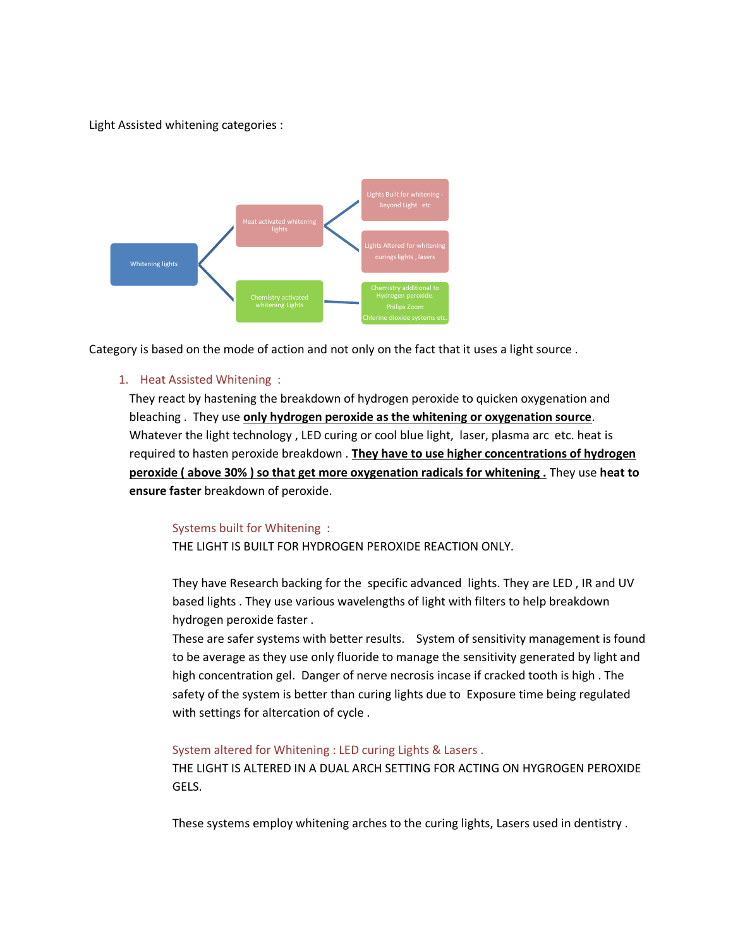Light Assisted whitening categories :



Category is based on the mode of action and not only on the fact that it uses a light source .

#### 1. Heat Assisted Whitening :

They react by hastening the breakdown of hydrogen peroxide to quicken oxygenation and bleaching . They use **only hydrogen peroxide as the whitening or oxygenation source**. Whatever the light technology , LED curing or cool blue light, laser, plasma arc etc. heat is required to hasten peroxide breakdown . **They have to use higher concentrations of hydrogen peroxide ( above 30% ) so that get more oxygenation radicals for whitening .** They use **heat to ensure faster** breakdown of peroxide.

#### Systems built for Whitening :

THE LIGHT IS BUILT FOR HYDROGEN PEROXIDE REACTION ONLY.

They have Research backing for the specific advanced lights. They are LED , IR and UV based lights . They use various wavelengths of light with filters to help breakdown hydrogen peroxide faster .

These are safer systems with better results. System of sensitivity management is found to be average as they use only fluoride to manage the sensitivity generated by light and high concentration gel. Danger of nerve necrosis incase if cracked tooth is high . The safety of the system is better than curing lights due to Exposure time being regulated with settings for altercation of cycle .

#### System altered for Whitening : LED curing Lights & Lasers .

THE LIGHT IS ALTERED IN A DUAL ARCH SETTING FOR ACTING ON HYGROGEN PEROXIDE GELS.

These systems employ whitening arches to the curing lights, Lasers used in dentistry .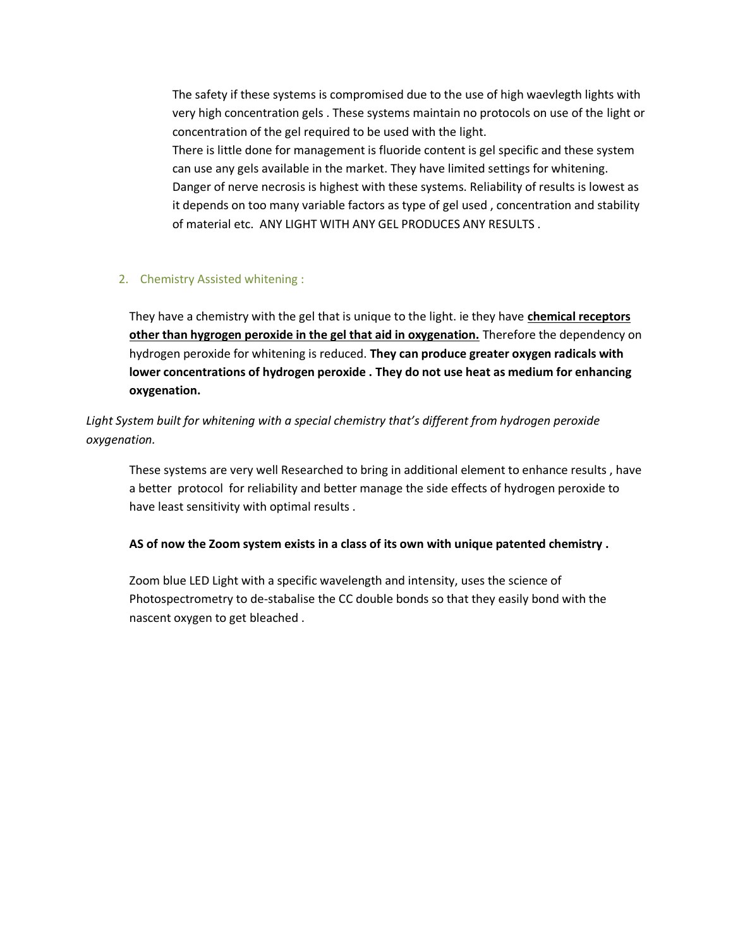The safety if these systems is compromised due to the use of high waevlegth lights with very high concentration gels . These systems maintain no protocols on use of the light or concentration of the gel required to be used with the light.

There is little done for management is fluoride content is gel specific and these system can use any gels available in the market. They have limited settings for whitening. Danger of nerve necrosis is highest with these systems. Reliability of results is lowest as it depends on too many variable factors as type of gel used , concentration and stability of material etc. ANY LIGHT WITH ANY GEL PRODUCES ANY RESULTS .

#### 2. Chemistry Assisted whitening :

They have a chemistry with the gel that is unique to the light. ie they have **chemical receptors other than hygrogen peroxide in the gel that aid in oxygenation.** Therefore the dependency on hydrogen peroxide for whitening is reduced. **They can produce greater oxygen radicals with lower concentrations of hydrogen peroxide . They do not use heat as medium for enhancing oxygenation.** 

*Light System built for whitening with a special chemistry that's different from hydrogen peroxide oxygenation.* 

These systems are very well Researched to bring in additional element to enhance results , have a better protocol for reliability and better manage the side effects of hydrogen peroxide to have least sensitivity with optimal results .

**AS of now the Zoom system exists in a class of its own with unique patented chemistry .**

Zoom blue LED Light with a specific wavelength and intensity, uses the science of Photospectrometry to de-stabalise the CC double bonds so that they easily bond with the nascent oxygen to get bleached .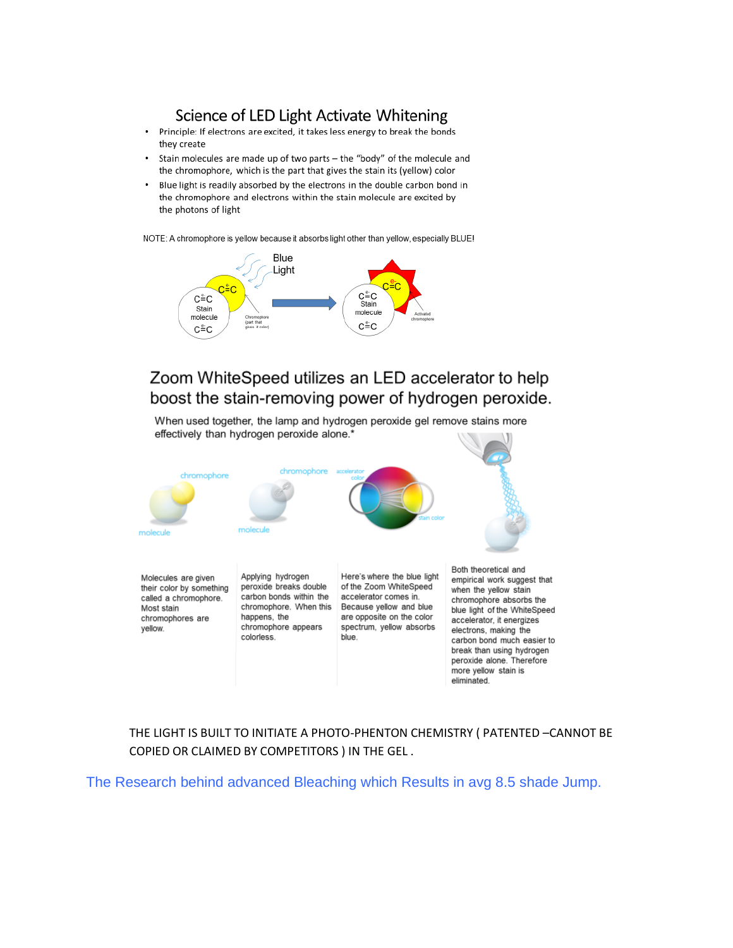### Science of LED Light Activate Whitening

- Principle: If electrons are excited, it takes less energy to break the bonds  $\bullet$ they create
- Stain molecules are made up of two parts the "body" of the molecule and the chromophore, which is the part that gives the stain its (yellow) color
- Blue light is readily absorbed by the electrons in the double carbon bond in the chromophore and electrons within the stain molecule are excited by the photons of light

NOTE: A chromophore is yellow because it absorbs light other than yellow, especially BLUE!



## Zoom WhiteSpeed utilizes an LED accelerator to help boost the stain-removing power of hydrogen peroxide.

When used together, the lamp and hydrogen peroxide gel remove stains more effectively than hydrogen peroxide alone.\*



chromophores are yellow.

happens, the chromophore appears colorless.

are opposite on the color spectrum, yellow absorbs blue.

empirical work suggest that chromophore absorbs the blue light of the WhiteSpeed accelerator, it energizes electrons, making the carbon bond much easier to break than using hydrogen peroxide alone. Therefore more yellow stain is eliminated.

THE LIGHT IS BUILT TO INITIATE A PHOTO-PHENTON CHEMISTRY ( PATENTED –CANNOT BE COPIED OR CLAIMED BY COMPETITORS ) IN THE GEL .

The Research behind advanced Bleaching which Results in avg 8.5 shade Jump.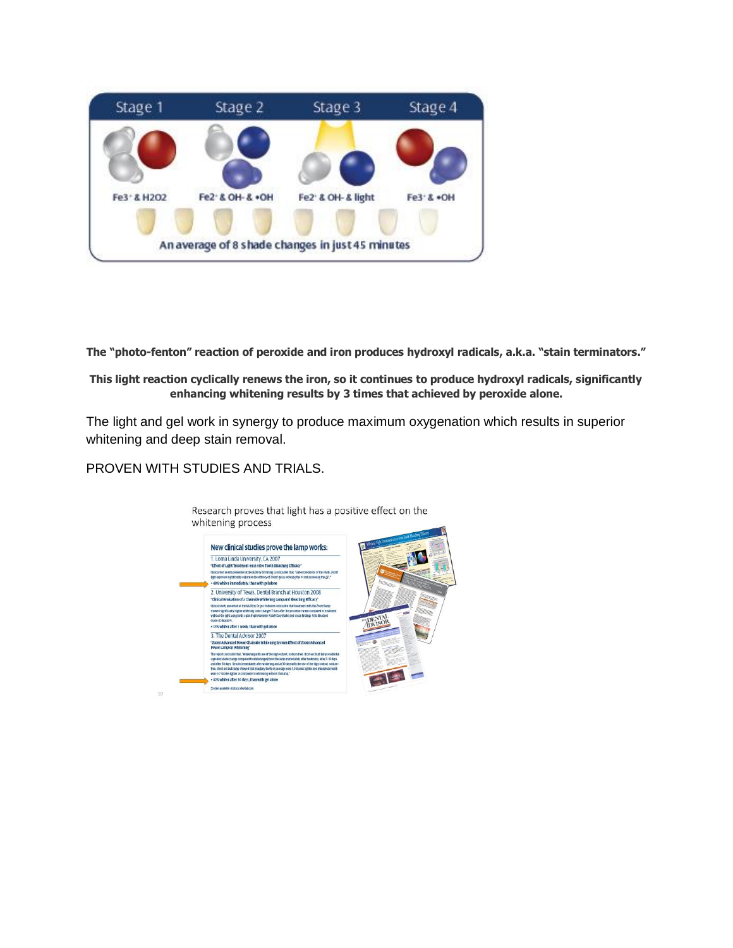

**The "photo-fenton" reaction of peroxide and iron produces hydroxyl radicals, a.k.a. "stain terminators."**

**This light reaction cyclically renews the iron, so it continues to produce hydroxyl radicals, significantly enhancing whitening results by 3 times that achieved by peroxide alone.**

The light and gel work in synergy to produce maximum oxygenation which results in superior whitening and deep stain removal.

#### PROVEN WITH STUDIES AND TRIALS.

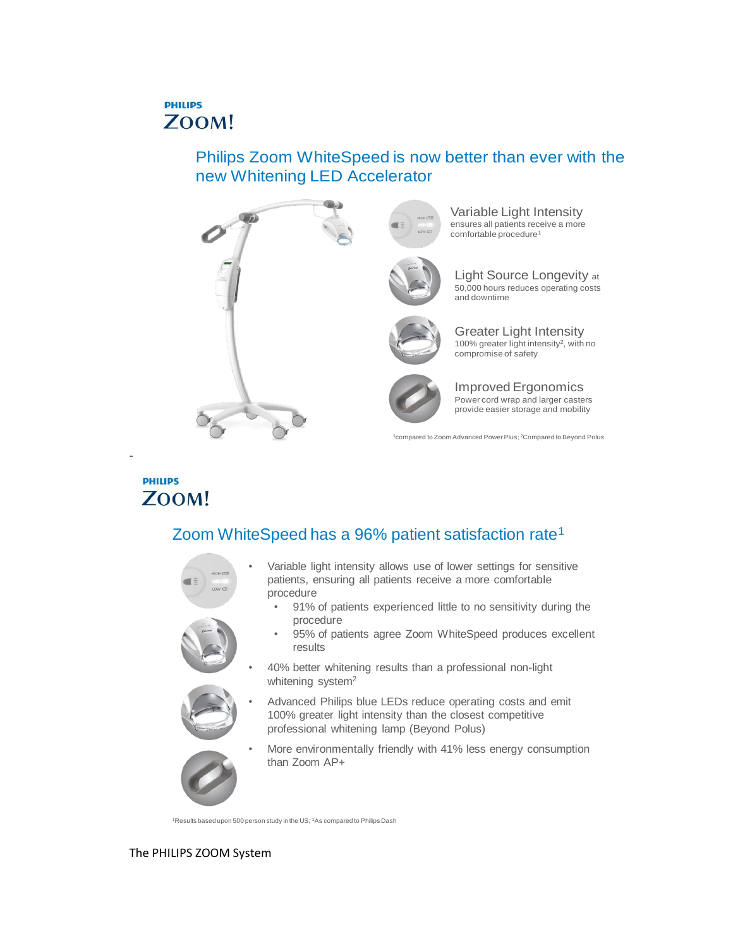## **PHILIPS** ZOOM!

## Philips Zoom WhiteSpeed is now better than ever with the new Whitening LED Accelerator



Light Source Longevity at 50,000 hours reduces operating costs

Greater Light Intensity 100% greater light intensity<sup>2</sup>, with no

<sup>1</sup>compared to Zoom Advanced Power Plus; <sup>2</sup>Compared to Beyond Polus

## **PHILIPS** ZOOM!

-

# Zoom WhiteSpeed has a 96% patient satisfaction rate<sup>1</sup>



Variable light intensity allows use of lower settings for sensitive patients, ensuring all patients receive a more comfortable procedure

- 91% of patients experienced little to no sensitivity during the procedure
- 95% of patients agree Zoom WhiteSpeed produces excellent results

• 40% better whitening results than a professional non-light whitening system<sup>2</sup>

• Advanced Philips blue LEDs reduce operating costs and emit 100% greater light intensity than the closest competitive professional whitening lamp (Beyond Polus)



More environmentally friendly with 41% less energy consumption than Zoom AP+

<sup>1</sup>Results based upon 500 person study in the US; <sup>2</sup>As compared to Philips Dash

#### The PHILIPS ZOOM System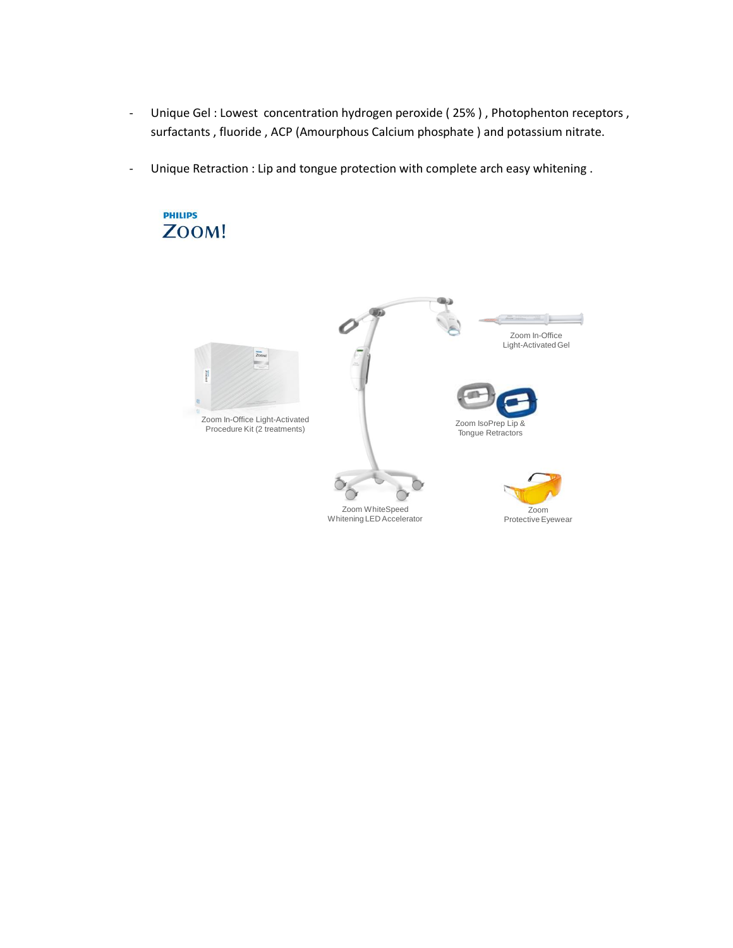- Unique Gel : Lowest concentration hydrogen peroxide (25%), Photophenton receptors, surfactants , fluoride , ACP (Amourphous Calcium phosphate ) and potassium nitrate.
- Unique Retraction : Lip and tongue protection with complete arch easy whitening .

**PHILIPS** 

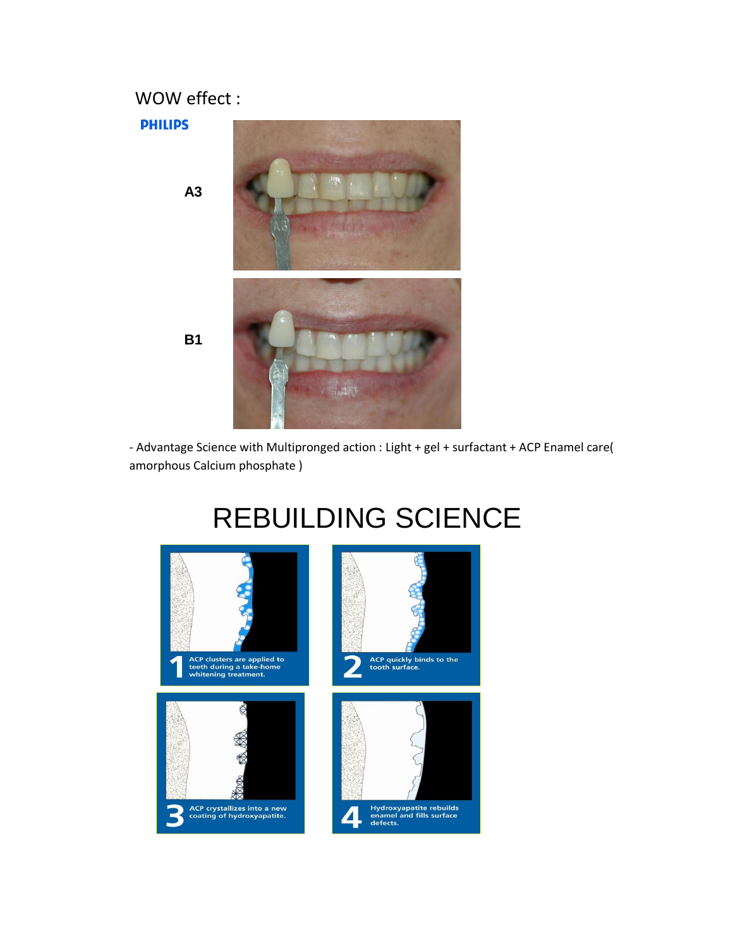## WOW effect :





- Advantage Science with Multipronged action : Light + gel + surfactant + ACP Enamel care( amorphous Calcium phosphate )

March 2012

# REBUILDING SCIENCE

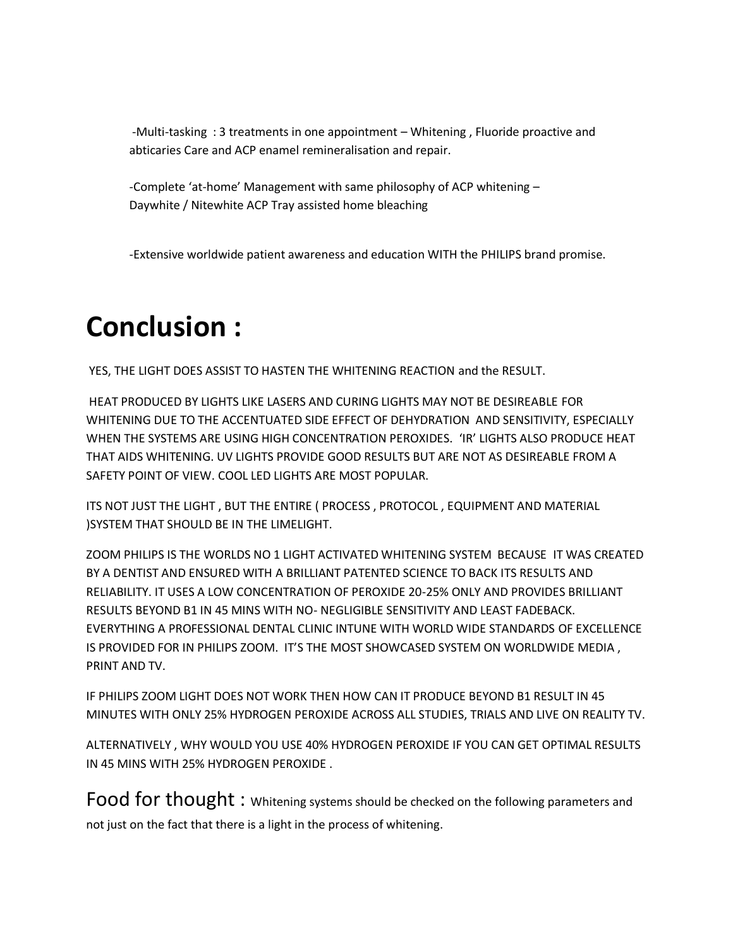-Multi-tasking : 3 treatments in one appointment – Whitening , Fluoride proactive and abticaries Care and ACP enamel remineralisation and repair.

-Complete 'at-home' Management with same philosophy of ACP whitening – Daywhite / Nitewhite ACP Tray assisted home bleaching

-Extensive worldwide patient awareness and education WITH the PHILIPS brand promise.

# **Conclusion :**

YES, THE LIGHT DOES ASSIST TO HASTEN THE WHITENING REACTION and the RESULT.

HEAT PRODUCED BY LIGHTS LIKE LASERS AND CURING LIGHTS MAY NOT BE DESIREABLE FOR WHITENING DUE TO THE ACCENTUATED SIDE EFFECT OF DEHYDRATION AND SENSITIVITY, ESPECIALLY WHEN THE SYSTEMS ARE USING HIGH CONCENTRATION PEROXIDES. 'IR' LIGHTS ALSO PRODUCE HEAT THAT AIDS WHITENING. UV LIGHTS PROVIDE GOOD RESULTS BUT ARE NOT AS DESIREABLE FROM A SAFETY POINT OF VIEW. COOL LED LIGHTS ARE MOST POPULAR.

ITS NOT JUST THE LIGHT , BUT THE ENTIRE ( PROCESS , PROTOCOL , EQUIPMENT AND MATERIAL )SYSTEM THAT SHOULD BE IN THE LIMELIGHT.

ZOOM PHILIPS IS THE WORLDS NO 1 LIGHT ACTIVATED WHITENING SYSTEM BECAUSE IT WAS CREATED BY A DENTIST AND ENSURED WITH A BRILLIANT PATENTED SCIENCE TO BACK ITS RESULTS AND RELIABILITY. IT USES A LOW CONCENTRATION OF PEROXIDE 20-25% ONLY AND PROVIDES BRILLIANT RESULTS BEYOND B1 IN 45 MINS WITH NO- NEGLIGIBLE SENSITIVITY AND LEAST FADEBACK. EVERYTHING A PROFESSIONAL DENTAL CLINIC INTUNE WITH WORLD WIDE STANDARDS OF EXCELLENCE IS PROVIDED FOR IN PHILIPS ZOOM. IT'S THE MOST SHOWCASED SYSTEM ON WORLDWIDE MEDIA, PRINT AND TV.

IF PHILIPS ZOOM LIGHT DOES NOT WORK THEN HOW CAN IT PRODUCE BEYOND B1 RESULT IN 45 MINUTES WITH ONLY 25% HYDROGEN PEROXIDE ACROSS ALL STUDIES, TRIALS AND LIVE ON REALITY TV.

ALTERNATIVELY , WHY WOULD YOU USE 40% HYDROGEN PEROXIDE IF YOU CAN GET OPTIMAL RESULTS IN 45 MINS WITH 25% HYDROGEN PEROXIDE .

Food for thought: Whitening systems should be checked on the following parameters and not just on the fact that there is a light in the process of whitening.